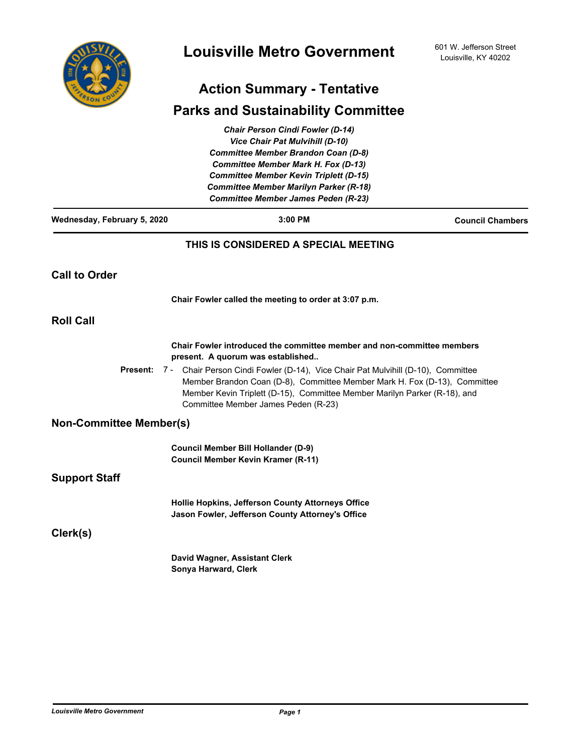

# **Action Summary - Tentative**

## **Parks and Sustainability Committee**

|                                | <b>Chair Person Cindi Fowler (D-14)</b>                                                                                                                                                                                                                                           |                         |
|--------------------------------|-----------------------------------------------------------------------------------------------------------------------------------------------------------------------------------------------------------------------------------------------------------------------------------|-------------------------|
|                                | <b>Vice Chair Pat Mulvihill (D-10)</b>                                                                                                                                                                                                                                            |                         |
|                                | <b>Committee Member Brandon Coan (D-8)</b>                                                                                                                                                                                                                                        |                         |
|                                | <b>Committee Member Mark H. Fox (D-13)</b>                                                                                                                                                                                                                                        |                         |
|                                | <b>Committee Member Kevin Triplett (D-15)</b>                                                                                                                                                                                                                                     |                         |
|                                | Committee Member Marilyn Parker (R-18)                                                                                                                                                                                                                                            |                         |
|                                | <b>Committee Member James Peden (R-23)</b>                                                                                                                                                                                                                                        |                         |
| Wednesday, February 5, 2020    | 3:00 PM                                                                                                                                                                                                                                                                           | <b>Council Chambers</b> |
|                                | THIS IS CONSIDERED A SPECIAL MEETING                                                                                                                                                                                                                                              |                         |
| <b>Call to Order</b>           |                                                                                                                                                                                                                                                                                   |                         |
|                                | Chair Fowler called the meeting to order at 3:07 p.m.                                                                                                                                                                                                                             |                         |
| <b>Roll Call</b>               |                                                                                                                                                                                                                                                                                   |                         |
|                                | Chair Fowler introduced the committee member and non-committee members<br>present. A quorum was established                                                                                                                                                                       |                         |
| <b>Present:</b>                | 7 - Chair Person Cindi Fowler (D-14), Vice Chair Pat Mulvihill (D-10), Committee<br>Member Brandon Coan (D-8), Committee Member Mark H. Fox (D-13), Committee<br>Member Kevin Triplett (D-15), Committee Member Marilyn Parker (R-18), and<br>Committee Member James Peden (R-23) |                         |
| <b>Non-Committee Member(s)</b> |                                                                                                                                                                                                                                                                                   |                         |
|                                | <b>Council Member Bill Hollander (D-9)</b><br><b>Council Member Kevin Kramer (R-11)</b>                                                                                                                                                                                           |                         |
| <b>Support Staff</b>           |                                                                                                                                                                                                                                                                                   |                         |
|                                | Hollie Hopkins, Jefferson County Attorneys Office<br>Jason Fowler, Jefferson County Attorney's Office                                                                                                                                                                             |                         |
| Clerk(s)                       |                                                                                                                                                                                                                                                                                   |                         |
|                                | David Wagner, Assistant Clerk                                                                                                                                                                                                                                                     |                         |
|                                | Sonya Harward, Clerk                                                                                                                                                                                                                                                              |                         |
|                                |                                                                                                                                                                                                                                                                                   |                         |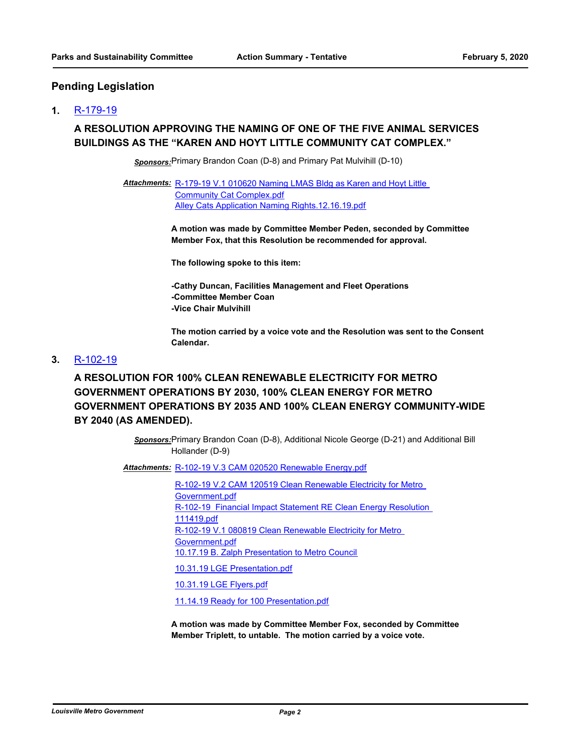### **Pending Legislation**

#### **1.** [R-179-19](http://louisville.legistar.com/gateway.aspx?m=l&id=/matter.aspx?key=52296)

## **A RESOLUTION APPROVING THE NAMING OF ONE OF THE FIVE ANIMAL SERVICES BUILDINGS AS THE "KAREN AND HOYT LITTLE COMMUNITY CAT COMPLEX."**

*Sponsors:*Primary Brandon Coan (D-8) and Primary Pat Mulvihill (D-10)

Attachments: R-179-19 V.1 010620 Naming LMAS Bldg as Karen and Hoyt Little Community Cat Complex.pdf [Alley Cats Application Naming Rights.12.16.19.pdf](http://louisville.legistar.com/gateway.aspx?M=F&ID=c4f1056f-faa4-4da8-8987-6b6e208449f4.pdf)

> **A motion was made by Committee Member Peden, seconded by Committee Member Fox, that this Resolution be recommended for approval.**

**The following spoke to this item:**

**-Cathy Duncan, Facilities Management and Fleet Operations -Committee Member Coan -Vice Chair Mulvihill**

**The motion carried by a voice vote and the Resolution was sent to the Consent Calendar.**

#### **3.** [R-102-19](http://louisville.legistar.com/gateway.aspx?m=l&id=/matter.aspx?key=50931)

**A RESOLUTION FOR 100% CLEAN RENEWABLE ELECTRICITY FOR METRO GOVERNMENT OPERATIONS BY 2030, 100% CLEAN ENERGY FOR METRO GOVERNMENT OPERATIONS BY 2035 AND 100% CLEAN ENERGY COMMUNITY-WIDE BY 2040 (AS AMENDED).**

> *Sponsors:*Primary Brandon Coan (D-8), Additional Nicole George (D-21) and Additional Bill Hollander (D-9)

Attachments: [R-102-19 V.3 CAM 020520 Renewable Energy.pdf](http://louisville.legistar.com/gateway.aspx?M=F&ID=93d2dbf0-2c3c-4aa0-bce3-52238bb3d5f2.pdf)

[R-102-19 V.2 CAM 120519 Clean Renewable Electricity for Metro](http://louisville.legistar.com/gateway.aspx?M=F&ID=e545306f-b088-492d-8e04-32064c469a8b.pdf)  Government.pdf [R-102-19 Financial Impact Statement RE Clean Energy Resolution](http://louisville.legistar.com/gateway.aspx?M=F&ID=80179f31-a567-4321-91ea-0ae83deffe66.pdf)  111419.pdf [R-102-19 V.1 080819 Clean Renewable Electricity for Metro](http://louisville.legistar.com/gateway.aspx?M=F&ID=96b9a0b2-4af9-426b-9167-2cc3d891b492.pdf)  Government.pdf [10.17.19 B. Zalph Presentation to Metro Council](http://louisville.legistar.com/gateway.aspx?M=F&ID=9ab4768e-413b-4864-aa88-487c018a2d06.pdf) [10.31.19 LGE Presentation.pdf](http://louisville.legistar.com/gateway.aspx?M=F&ID=e9d85ec4-f9f1-4b4c-9c79-2543e4d72558.pdf)

[10.31.19 LGE Flyers.pdf](http://louisville.legistar.com/gateway.aspx?M=F&ID=7d7d4491-155a-4dfb-b3bc-b99a0525c1f8.pdf)

[11.14.19 Ready for 100 Presentation.pdf](http://louisville.legistar.com/gateway.aspx?M=F&ID=7067aa11-b0fd-4c92-8de3-1a95eb1b5cc8.pdf)

**A motion was made by Committee Member Fox, seconded by Committee Member Triplett, to untable. The motion carried by a voice vote.**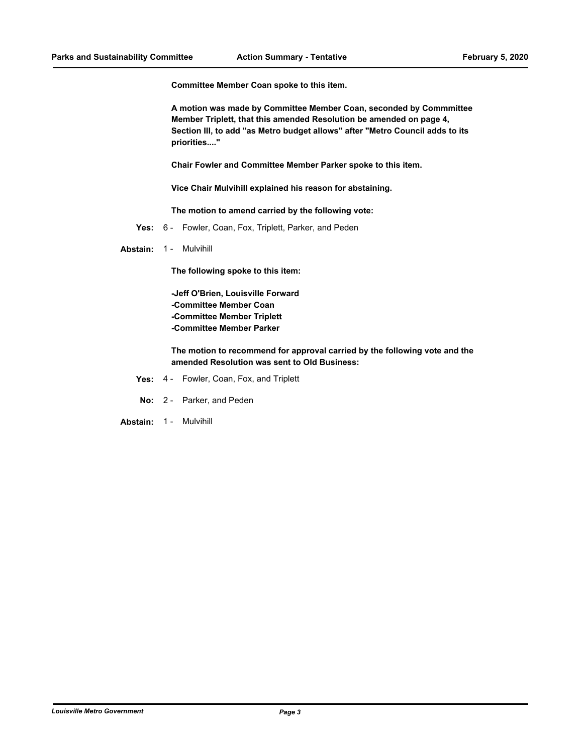**Committee Member Coan spoke to this item.** 

**A motion was made by Committee Member Coan, seconded by Commmittee Member Triplett, that this amended Resolution be amended on page 4, Section III, to add "as Metro budget allows" after "Metro Council adds to its priorities...."**

**Chair Fowler and Committee Member Parker spoke to this item.**

**Vice Chair Mulvihill explained his reason for abstaining.** 

**The motion to amend carried by the following vote:**

**Yes:** 6 - Fowler, Coan, Fox, Triplett, Parker, and Peden

Abstain: 1 - Mulvihill

**The following spoke to this item:**

**-Jeff O'Brien, Louisville Forward -Committee Member Coan -Committee Member Triplett -Committee Member Parker**

**The motion to recommend for approval carried by the following vote and the amended Resolution was sent to Old Business:**

- **Yes:** 4 Fowler, Coan, Fox, and Triplett
- **No:** 2 Parker, and Peden

**Abstain:** 1 - Mulvihill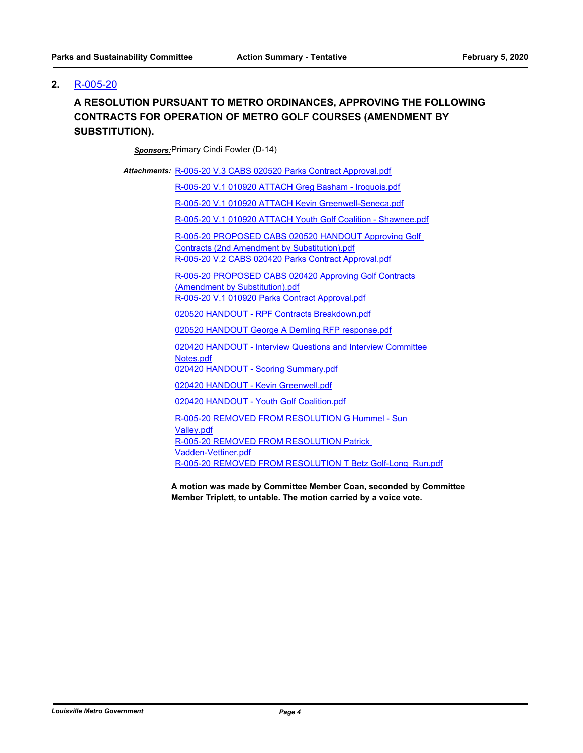### **2.** [R-005-20](http://louisville.legistar.com/gateway.aspx?m=l&id=/matter.aspx?key=52391)

## **A RESOLUTION PURSUANT TO METRO ORDINANCES, APPROVING THE FOLLOWING CONTRACTS FOR OPERATION OF METRO GOLF COURSES (AMENDMENT BY SUBSTITUTION).**

*Sponsors:*Primary Cindi Fowler (D-14)

Attachments: [R-005-20 V.3 CABS 020520 Parks Contract Approval.pdf](http://louisville.legistar.com/gateway.aspx?M=F&ID=f58ca7a3-f112-47e5-b990-3678a9aaa436.pdf)

[R-005-20 V.1 010920 ATTACH Greg Basham - Iroquois.pdf](http://louisville.legistar.com/gateway.aspx?M=F&ID=138b2ed9-8e70-4f58-9294-46e9ae91b6f2.pdf)

[R-005-20 V.1 010920 ATTACH Kevin Greenwell-Seneca.pdf](http://louisville.legistar.com/gateway.aspx?M=F&ID=c2723085-de64-42ed-9b80-911f1ad62895.pdf)

[R-005-20 V.1 010920 ATTACH Youth Golf Coalition - Shawnee.pdf](http://louisville.legistar.com/gateway.aspx?M=F&ID=424c004b-40a8-422a-ad9d-a2020813cbb2.pdf)

[R-005-20 PROPOSED CABS 020520 HANDOUT Approving Golf](http://louisville.legistar.com/gateway.aspx?M=F&ID=911c17fd-cc86-4886-8d49-20673420a227.pdf)  Contracts (2nd Amendment by Substitution).pdf [R-005-20 V.2 CABS 020420 Parks Contract Approval.pdf](http://louisville.legistar.com/gateway.aspx?M=F&ID=e5d1606a-d3da-459a-ac6a-072133ec0fc5.pdf)

[R-005-20 PROPOSED CABS 020420 Approving Golf Contracts](http://louisville.legistar.com/gateway.aspx?M=F&ID=e918262d-55ff-46ba-87b2-d60a564c306e.pdf)  (Amendment by Substitution).pdf [R-005-20 V.1 010920 Parks Contract Approval.pdf](http://louisville.legistar.com/gateway.aspx?M=F&ID=2f5293e9-81c2-4852-b8c2-b77c79510eea.pdf)

[020520 HANDOUT - RPF Contracts Breakdown.pdf](http://louisville.legistar.com/gateway.aspx?M=F&ID=860e0e33-bbc9-4557-b80a-3ff62e4ef79f.pdf)

[020520 HANDOUT George A Demling RFP response.pdf](http://louisville.legistar.com/gateway.aspx?M=F&ID=c0b4e691-8218-42e5-9d3e-84e4bac0837e.pdf)

[020420 HANDOUT - Interview Questions and Interview Committee](http://louisville.legistar.com/gateway.aspx?M=F&ID=f4ceca5e-b203-44c8-aae5-85f420cbbfe5.pdf)  Notes.pdf

[020420 HANDOUT - Scoring Summary.pdf](http://louisville.legistar.com/gateway.aspx?M=F&ID=d7ea0036-65e0-4aab-8cc4-f8cce14402c6.pdf)

[020420 HANDOUT - Kevin Greenwell.pdf](http://louisville.legistar.com/gateway.aspx?M=F&ID=653767db-d581-4689-984d-c9a8c680b726.pdf)

[020420 HANDOUT - Youth Golf Coalition.pdf](http://louisville.legistar.com/gateway.aspx?M=F&ID=211d2b7e-4a0c-4cd2-8023-c5478c738ea3.pdf)

[R-005-20 REMOVED FROM RESOLUTION G Hummel - Sun](http://louisville.legistar.com/gateway.aspx?M=F&ID=997c860b-d38c-44b6-9af5-1f8bc66f1064.pdf)  Valley.pdf [R-005-20 REMOVED FROM RESOLUTION Patrick](http://louisville.legistar.com/gateway.aspx?M=F&ID=47c204b6-6835-4dcd-8d3f-123ba6359e6f.pdf)  Vadden-Vettiner.pdf [R-005-20 REMOVED FROM RESOLUTION T Betz Golf-Long\\_Run.pdf](http://louisville.legistar.com/gateway.aspx?M=F&ID=3dc19f6f-104b-4bf2-8ef6-667e63fe2ec8.pdf)

**A motion was made by Committee Member Coan, seconded by Committee Member Triplett, to untable. The motion carried by a voice vote.**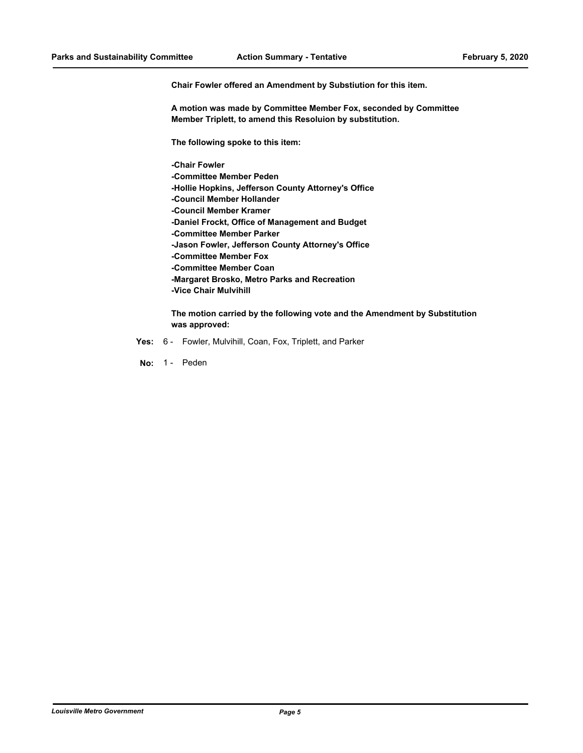**Chair Fowler offered an Amendment by Substiution for this item.** 

**A motion was made by Committee Member Fox, seconded by Committee Member Triplett, to amend this Resoluion by substitution.** 

**The following spoke to this item:**

**-Chair Fowler -Committee Member Peden -Hollie Hopkins, Jefferson County Attorney's Office -Council Member Hollander -Council Member Kramer -Daniel Frockt, Office of Management and Budget -Committee Member Parker -Jason Fowler, Jefferson County Attorney's Office -Committee Member Fox -Committee Member Coan -Margaret Brosko, Metro Parks and Recreation -Vice Chair Mulvihill**

**The motion carried by the following vote and the Amendment by Substitution was approved:**

- **Yes:** 6 Fowler, Mulvihill, Coan, Fox, Triplett, and Parker
- No: 1 Peden